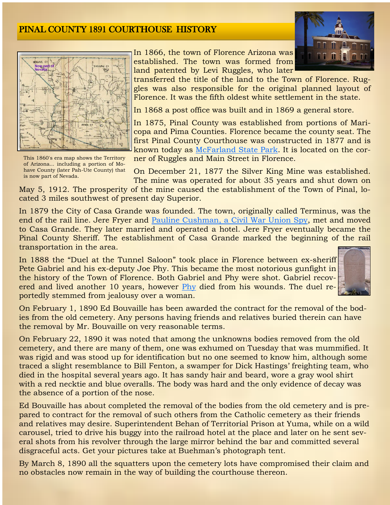



This 1860's era map shows the Territory of Arizona... including a portion of Mohave County (later Pah-Ute County) that is now part of Nevada.

In 1866, the town of Florence Arizona was established. The town was formed from land patented by Levi Ruggles, who later

transferred the title of the land to the Town of Florence. Ruggles was also responsible for the original planned layout of Florence. It was the fifth oldest white settlement in the state.

In 1868 a post office was built and in 1869 a general store.

In 1875, Pinal County was established from portions of Maricopa and Pima Counties. Florence became the county seat. The first Pinal County Courthouse was constructed in 1877 and is known today as [McFarland State Park.](http://azstateparks.com/parks/MCFA/index.html) It is located on the corner of Ruggles and Main Street in Florence.

On December 21, 1877 the Silver King Mine was established. The mine was operated for about 35 years and shut down on

May 5, 1912. The prosperity of the mine caused the establishment of the Town of Pinal, located 3 miles southwest of present day Superior.

In 1879 the City of Casa Grande was founded. The town, originally called Terminus, was the end of the rail line. Jere Fryer and [Pauline Cushman, a Civil War Union Spy,](http://www.civilwarsignals.org/pages/spy/fedsecret/fedsecret.html) met and moved to Casa Grande. They later married and operated a hotel. Jere Fryer eventually became the Pinal County Sheriff. The establishment of Casa Grande marked the beginning of the rail transportation in the area.

In 1888 the "Duel at the Tunnel Saloon" took place in Florence between ex-sheriff Pete Gabriel and his ex-deputy Joe Phy. This became the most notorious gunfight in the history of the Town of Florence. Both Gabriel and Phy were shot. Gabriel recovered and lived another 10 years, however [Phy](http://arizonagravestones.org/view.php?id=39133) died from his wounds. The duel reportedly stemmed from jealousy over a woman.



On February 1, 1890 Ed Bouvaille has been awarded the contract for the removal of the bodies from the old cemetery. Any persons having friends and relatives buried therein can have the removal by Mr. Bouvaille on very reasonable terms.

On February 22, 1890 it was noted that among the unknowns bodies removed from the old cemetery, and there are many of them, one was exhumed on Tuesday that was mummified. It was rigid and was stood up for identification but no one seemed to know him, although some traced a slight resemblance to Bill Fenton, a swamper for Dick Hastings' freighting team, who died in the hospital several years ago. It has sandy hair and beard, wore a gray wool shirt with a red necktie and blue overalls. The body was hard and the only evidence of decay was the absence of a portion of the nose.

Ed Bouvaille has about completed the removal of the bodies from the old cemetery and is prepared to contract for the removal of such others from the Catholic cemetery as their friends and relatives may desire. Superintendent Behan of Territorial Prison at Yuma, while on a wild carousel, tried to drive his buggy into the railroad hotel at the place and later on he sent several shots from his revolver through the large mirror behind the bar and committed several disgraceful acts. Get your pictures take at Buehman's photograph tent.

By March 8, 1890 all the squatters upon the cemetery lots have compromised their claim and no obstacles now remain in the way of building the courthouse thereon.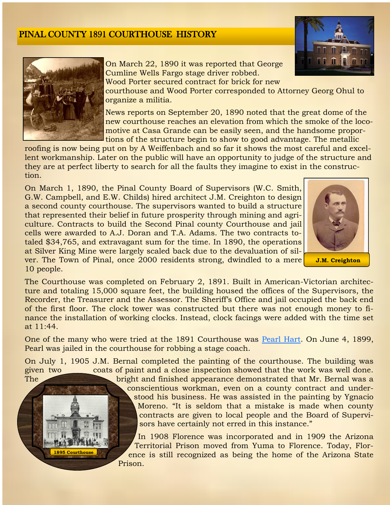



On March 22, 1890 it was reported that George Cumline Wells Fargo stage driver robbed. Wood Porter secured contract for brick for new

courthouse and Wood Porter corresponded to Attorney Georg Ohul to organize a militia.

News reports on September 20, 1890 noted that the great dome of the new courthouse reaches an elevation from which the smoke of the locomotive at Casa Grande can be easily seen, and the handsome proportions of the structure begin to show to good advantage. The metallic

roofing is now being put on by A Weiffenbach and so far it shows the most careful and excellent workmanship. Later on the public will have an opportunity to judge of the structure and they are at perfect liberty to search for all the faults they imagine to exist in the construction.

On March 1, 1890, the Pinal County Board of Supervisors (W.C. Smith, G.W. Campbell, and E.W. Childs) hired architect J.M. Creighton to design a second county courthouse. The supervisors wanted to build a structure that represented their belief in future prosperity through mining and agriculture. Contracts to build the Second Pinal county Courthouse and jail cells were awarded to A.J. Doran and T.A. Adams. The two contracts totaled \$34,765, and extravagant sum for the time. In 1890, the operations at Silver King Mine were largely scaled back due to the devaluation of silver. The Town of Pinal, once 2000 residents strong, dwindled to a mere 10 people.



The Courthouse was completed on February 2, 1891. Built in American-Victorian architecture and totaling 15,000 square feet, the building housed the offices of the Supervisors, the Recorder, the Treasurer and the Assessor. The Sheriff's Office and jail occupied the back end of the first floor. The clock tower was constructed but there was not enough money to finance the installation of working clocks. Instead, clock facings were added with the time set at 11:44.

One of the many who were tried at the 1891 Courthouse was [Pearl Hart.](http://www.legendsofamerica.com/we-pearlhart.html) On June 4, 1899, Pearl was jailed in the courthouse for robbing a stage coach.

On July 1, 1905 J.M. Bernal completed the painting of the courthouse. The building was given two coats of paint and a close inspection showed that the work was well done.



The bright and finished appearance demonstrated that Mr. Bernal was a conscientious workman, even on a county contract and understood his business. He was assisted in the painting by Ygnacio Moreno. "It is seldom that a mistake is made when county contracts are given to local people and the Board of Supervisors have certainly not erred in this instance."

> In 1908 Florence was incorporated and in 1909 the Arizona Territorial Prison moved from Yuma to Florence. Today, Florence is still recognized as being the home of the Arizona State Prison.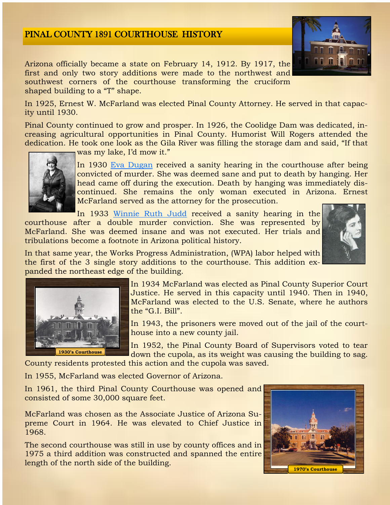

Arizona officially became a state on February 14, 1912. By 1917, the first and only two story additions were made to the northwest and southwest corners of the courthouse transforming the cruciform shaped building to a "T" shape.

In 1925, Ernest W. McFarland was elected Pinal County Attorney. He served in that capacity until 1930.

Pinal County continued to grow and prosper. In 1926, the Coolidge Dam was dedicated, increasing agricultural opportunities in Pinal County. Humorist Will Rogers attended the dedication. He took one look as the Gila River was filling the storage dam and said, "If that



was my lake, I'd mow it."

In 1930 [Eva Dugan](http://www.geocities.ws/epjacobs4/evadugan.htm) received a sanity hearing in the courthouse after being convicted of murder. She was deemed sane and put to death by hanging. Her head came off during the execution. Death by hanging was immediately discontinued. She remains the only woman executed in Arizona. Ernest McFarland served as the attorney for the prosecution.

In 1933 [Winnie Ruth Judd](http://doney.net/aroundaz/celebrity/judd_winnie_ruth.htm) received a sanity hearing in the courthouse after a double murder conviction. She was represented by McFarland. She was deemed insane and was not executed. Her trials and tribulations become a footnote in Arizona political history.



In that same year, the Works Progress Administration, (WPA) labor helped with the first of the 3 single story additions to the courthouse. This addition expanded the northeast edge of the building.



In 1934 McFarland was elected as Pinal County Superior Court Justice. He served in this capacity until 1940. Then in 1940, McFarland was elected to the U.S. Senate, where he authors the "G.I. Bill".

In 1943, the prisoners were moved out of the jail of the courthouse into a new county jail.

In 1952, the Pinal County Board of Supervisors voted to tear down the cupola, as its weight was causing the building to sag.

County residents protested this action and the cupola was saved.

In 1955, McFarland was elected Governor of Arizona.

In 1961, the third Pinal County Courthouse was opened and consisted of some 30,000 square feet.

McFarland was chosen as the Associate Justice of Arizona Supreme Court in 1964. He was elevated to Chief Justice in 1968.

The second courthouse was still in use by county offices and in 1975 a third addition was constructed and spanned the entire length of the north side of the building.